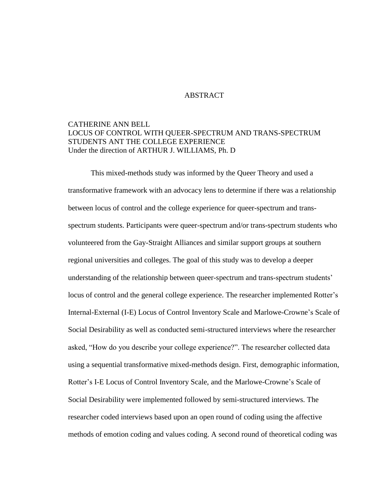## ABSTRACT

## CATHERINE ANN BELL LOCUS OF CONTROL WITH QUEER-SPECTRUM AND TRANS-SPECTRUM STUDENTS ANT THE COLLEGE EXPERIENCE Under the direction of ARTHUR J. WILLIAMS, Ph. D

This mixed-methods study was informed by the Queer Theory and used a transformative framework with an advocacy lens to determine if there was a relationship between locus of control and the college experience for queer-spectrum and transspectrum students. Participants were queer-spectrum and/or trans-spectrum students who volunteered from the Gay-Straight Alliances and similar support groups at southern regional universities and colleges. The goal of this study was to develop a deeper understanding of the relationship between queer-spectrum and trans-spectrum students' locus of control and the general college experience. The researcher implemented Rotter's Internal-External (I-E) Locus of Control Inventory Scale and Marlowe-Crowne's Scale of Social Desirability as well as conducted semi-structured interviews where the researcher asked, "How do you describe your college experience?". The researcher collected data using a sequential transformative mixed-methods design. First, demographic information, Rotter's I-E Locus of Control Inventory Scale, and the Marlowe-Crowne's Scale of Social Desirability were implemented followed by semi-structured interviews. The researcher coded interviews based upon an open round of coding using the affective methods of emotion coding and values coding. A second round of theoretical coding was